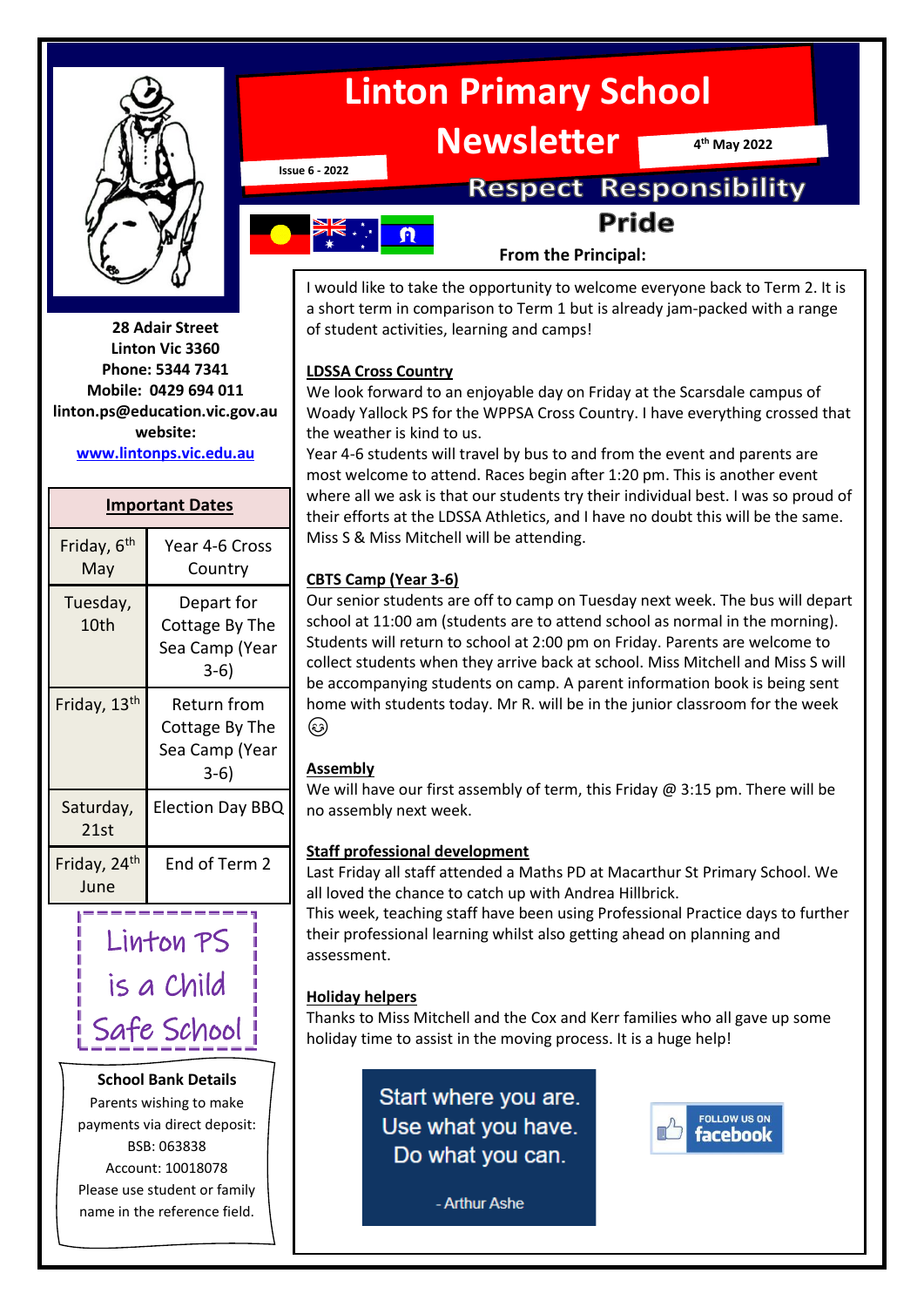

**28 Adair Street Linton Vic 3360 Phone: 5344 7341 Mobile: 0429 694 011 linton.ps@education.vic.gov.au website: [www.lintonps.vic.edu.au](http://www.lintonps.vic.edu.au/)**

#### **Important Dates**

| Year 4-6 Cross<br>Country                                 |  |
|-----------------------------------------------------------|--|
| Depart for<br>Cottage By The<br>Sea Camp (Year<br>$3-6)$  |  |
| Return from<br>Cottage By The<br>Sea Camp (Year<br>$3-6)$ |  |
| <b>Election Day BBQ</b>                                   |  |
| End of Term 2                                             |  |
|                                                           |  |

 Linton PS is a Child Safe School

#### **School Bank Details**

Parents wishing to make payments via direct deposit: BSB: 063838 Account: 10018078 Please use student or family name in the reference field.

# **Linton Primary School**

**Newsletter**

**4 th May 2022**

**Issue 6 - 2022**

## **Respect Responsibility Pride**

# $\boldsymbol{\Omega}$

#### **From the Principal:**

I would like to take the opportunity to welcome everyone back to Term 2. It is a short term in comparison to Term 1 but is already jam-packed with a range of student activities, learning and camps!

#### **LDSSA Cross Country**

We look forward to an enjoyable day on Friday at the Scarsdale campus of Woady Yallock PS for the WPPSA Cross Country. I have everything crossed that the weather is kind to us.

Year 4-6 students will travel by bus to and from the event and parents are most welcome to attend. Races begin after 1:20 pm. This is another event where all we ask is that our students try their individual best. I was so proud of their efforts at the LDSSA Athletics, and I have no doubt this will be the same. Miss S & Miss Mitchell will be attending.

#### **CBTS Camp (Year 3-6)**

Our senior students are off to camp on Tuesday next week. The bus will depart school at 11:00 am (students are to attend school as normal in the morning). Students will return to school at 2:00 pm on Friday. Parents are welcome to collect students when they arrive back at school. Miss Mitchell and Miss S will be accompanying students on camp. A parent information book is being sent home with students today. Mr R. will be in the junior classroom for the week (هَ)

#### **Assembly**

We will have our first assembly of term, this Friday  $@$  3:15 pm. There will be no assembly next week.

#### **Staff professional development**

Last Friday all staff attended a Maths PD at Macarthur St Primary School. We all loved the chance to catch up with Andrea Hillbrick.

This week, teaching staff have been using Professional Practice days to further their professional learning whilst also getting ahead on planning and assessment.

#### **Holiday helpers**

Thanks to Miss Mitchell and the Cox and Kerr families who all gave up some holiday time to assist in the moving process. It is a huge help!

> Start where you are. Use what you have. Do what you can.



- Arthur Ashe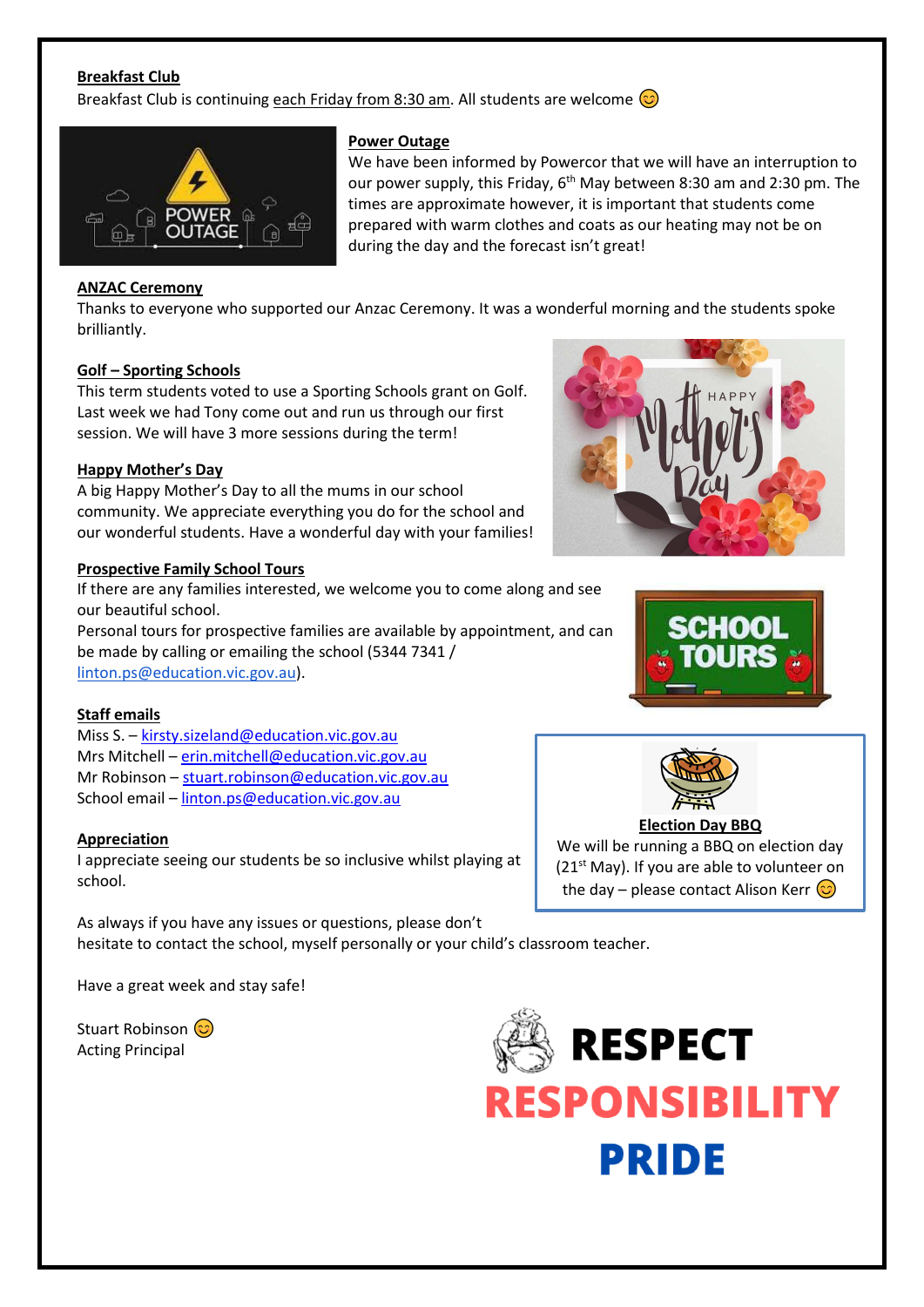#### **Breakfast Club**

Breakfast Club is continuing each Friday from 8:30 am. All students are welcome  $\circled{c}$ 



#### **Power Outage**

We have been informed by Powercor that we will have an interruption to our power supply, this Friday, 6<sup>th</sup> May between 8:30 am and 2:30 pm. The times are approximate however, it is important that students come prepared with warm clothes and coats as our heating may not be on during the day and the forecast isn't great!

#### **ANZAC Ceremony**

Thanks to everyone who supported our Anzac Ceremony. It was a wonderful morning and the students spoke brilliantly.

#### **Golf – Sporting Schools**

This term students voted to use a Sporting Schools grant on Golf. Last week we had Tony come out and run us through our first session. We will have 3 more sessions during the term!

#### **Happy Mother's Day**

A big Happy Mother's Day to all the mums in our school community. We appreciate everything you do for the school and our wonderful students. Have a wonderful day with your families!

#### **Prospective Family School Tours**

If there are any families interested, we welcome you to come along and see our beautiful school. Personal tours for prospective families are available by appointment, and can be made by calling or emailing the school (5344 7341 / [linton.ps@education.vic.gov.au\)](mailto:linton.ps@education.vic.gov.au).

#### **Staff emails**

Miss S. – [kirsty.sizeland@education.vic.gov.au](mailto:kirsty.sizeland@education.vic.gov.au) Mrs Mitchell – [erin.mitchell@education.vic.gov.au](mailto:erin.mitchell@education.vic.gov.au) Mr Robinson – [stuart.robinson@education.vic.gov.au](mailto:stuart.robinson@education.vic.gov.au) School email – [linton.ps@education.vic.gov.au](mailto:linton.ps@education.vic.gov.au)

#### **Appreciation**

I appreciate seeing our students be so inclusive whilst playing at school.

As always if you have any issues or questions, please don't hesitate to contact the school, myself personally or your child's classroom teacher.

Have a great week and stay safe!

Stuart Robinson (C) Acting Principal









We will be running a BBQ on election day  $(21<sup>st</sup>$  May). If you are able to volunteer on the day – please contact Alison Kerr  $\circled{c}$